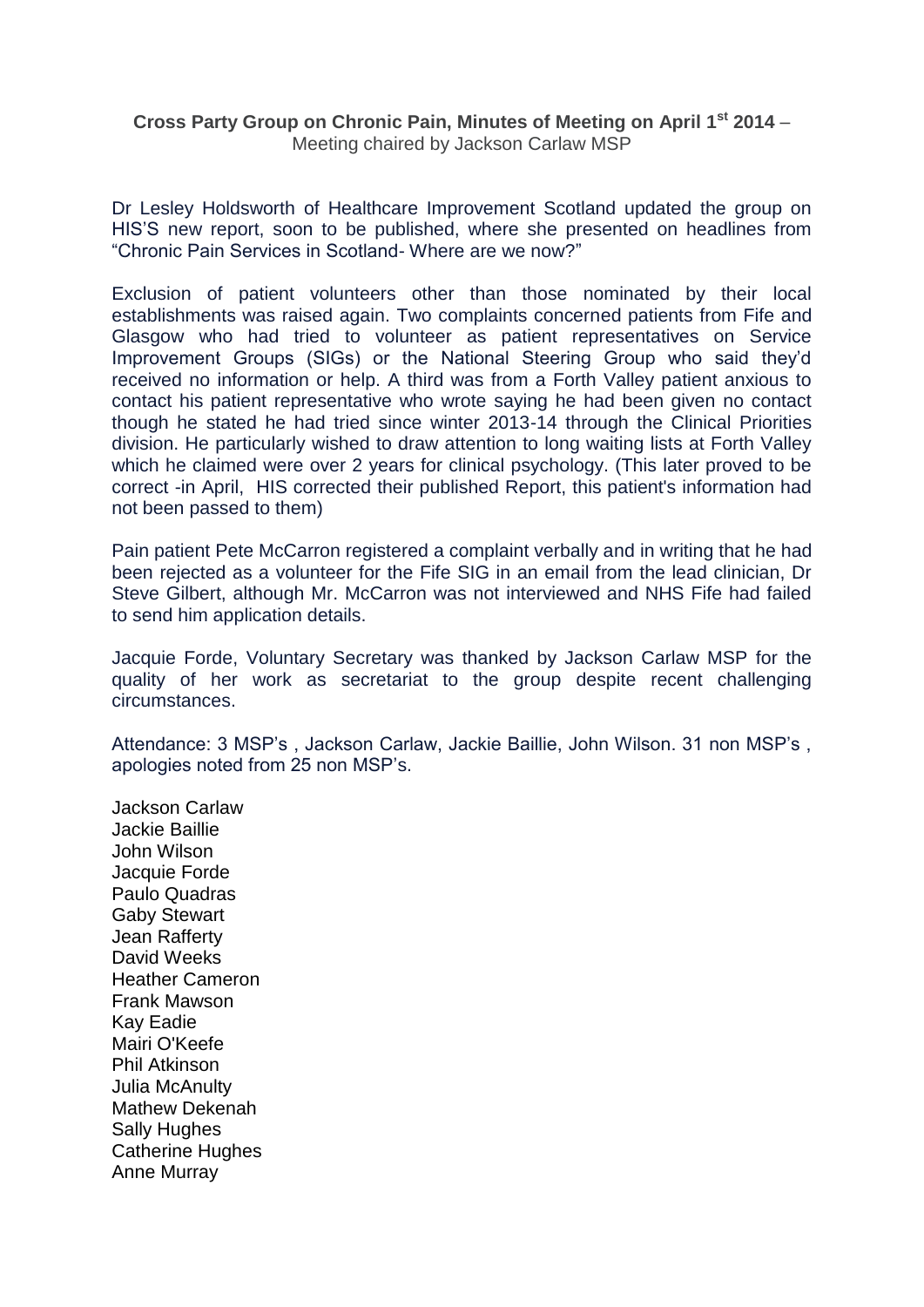## **Cross Party Group on Chronic Pain, Minutes of Meeting on April 1st 2014** – Meeting chaired by Jackson Carlaw MSP

Dr Lesley Holdsworth of Healthcare Improvement Scotland updated the group on HIS'S new report, soon to be published, where she presented on headlines from "Chronic Pain Services in Scotland- Where are we now?"

Exclusion of patient volunteers other than those nominated by their local establishments was raised again. Two complaints concerned patients from Fife and Glasgow who had tried to volunteer as patient representatives on Service Improvement Groups (SIGs) or the National Steering Group who said they'd received no information or help. A third was from a Forth Valley patient anxious to contact his patient representative who wrote saying he had been given no contact though he stated he had tried since winter 2013-14 through the Clinical Priorities division. He particularly wished to draw attention to long waiting lists at Forth Valley which he claimed were over 2 years for clinical psychology. (This later proved to be correct -in April, HIS corrected their published Report, this patient's information had not been passed to them)

Pain patient Pete McCarron registered a complaint verbally and in writing that he had been rejected as a volunteer for the Fife SIG in an email from the lead clinician, Dr Steve Gilbert, although Mr. McCarron was not interviewed and NHS Fife had failed to send him application details.

Jacquie Forde, Voluntary Secretary was thanked by Jackson Carlaw MSP for the quality of her work as secretariat to the group despite recent challenging circumstances.

Attendance: 3 MSP's , Jackson Carlaw, Jackie Baillie, John Wilson. 31 non MSP's , apologies noted from 25 non MSP's.

Jackson Carlaw Jackie Baillie John Wilson Jacquie Forde Paulo Quadras Gaby Stewart Jean Rafferty David Weeks Heather Cameron Frank Mawson Kay Eadie Mairi O'Keefe Phil Atkinson Julia McAnulty Mathew Dekenah Sally Hughes Catherine Hughes Anne Murray